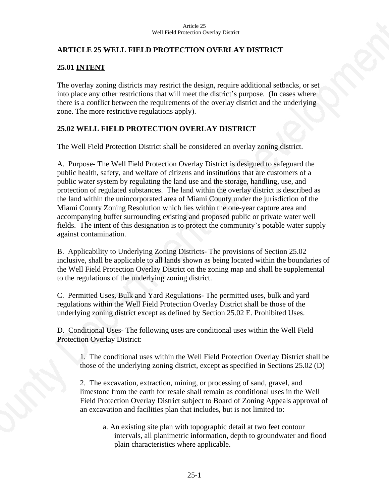### **ARTICLE 25 WELL FIELD PROTECTION OVERLAY DISTRICT**

### **25.01 INTENT**

The overlay zoning districts may restrict the design, require additional setbacks, or set into place any other restrictions that will meet the district's purpose. (In cases where there is a conflict between the requirements of the overlay district and the underlying zone. The more restrictive regulations apply).

### **25.02 WELL FIELD PROTECTION OVERLAY DISTRICT**

The Well Field Protection District shall be considered an overlay zoning district.

A. Purpose- The Well Field Protection Overlay District is designed to safeguard the public health, safety, and welfare of citizens and institutions that are customers of a public water system by regulating the land use and the storage, handling, use, and protection of regulated substances. The land within the overlay district is described as the land within the unincorporated area of Miami County under the jurisdiction of the Miami County Zoning Resolution which lies within the one-year capture area and accompanying buffer surrounding existing and proposed public or private water well fields. The intent of this designation is to protect the community's potable water supply against contamination.

B. Applicability to Underlying Zoning Districts- The provisions of Section 25.02 inclusive, shall be applicable to all lands shown as being located within the boundaries of the Well Field Protection Overlay District on the zoning map and shall be supplemental to the regulations of the underlying zoning district.

C. Permitted Uses, Bulk and Yard Regulations- The permitted uses, bulk and yard regulations within the Well Field Protection Overlay District shall be those of the underlying zoning district except as defined by Section 25.02 E. Prohibited Uses.

D. Conditional Uses- The following uses are conditional uses within the Well Field Protection Overlay District:

1. The conditional uses within the Well Field Protection Overlay District shall be those of the underlying zoning district, except as specified in Sections 25.02 (D)

2. The excavation, extraction, mining, or processing of sand, gravel, and limestone from the earth for resale shall remain as conditional uses in the Well Field Protection Overlay District subject to Board of Zoning Appeals approval of an excavation and facilities plan that includes, but is not limited to:

a. An existing site plan with topographic detail at two feet contour intervals, all planimetric information, depth to groundwater and flood plain characteristics where applicable.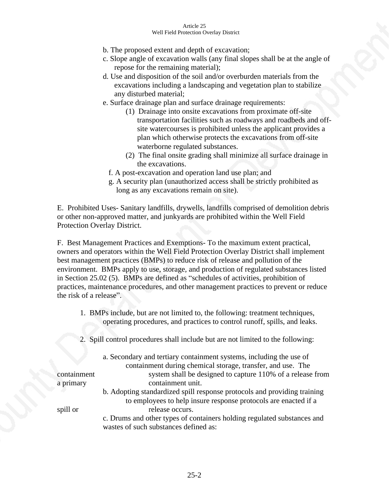- b. The proposed extent and depth of excavation;
- c. Slope angle of excavation walls (any final slopes shall be at the angle of repose for the remaining material);
- d. Use and disposition of the soil and/or overburden materials from the excavations including a landscaping and vegetation plan to stabilize any disturbed material;
- e. Surface drainage plan and surface drainage requirements:
	- (1) Drainage into onsite excavations from proximate off-site transportation facilities such as roadways and roadbeds and offsite watercourses is prohibited unless the applicant provides a plan which otherwise protects the excavations from off-site waterborne regulated substances.
	- (2) The final onsite grading shall minimize all surface drainage in the excavations.
	- f. A post-excavation and operation land use plan; and
	- g. A security plan (unauthorized access shall be strictly prohibited as long as any excavations remain on site).

E. Prohibited Uses- Sanitary landfills, drywells, landfills comprised of demolition debris or other non-approved matter, and junkyards are prohibited within the Well Field Protection Overlay District.

F. Best Management Practices and Exemptions- To the maximum extent practical, owners and operators within the Well Field Protection Overlay District shall implement best management practices (BMPs) to reduce risk of release and pollution of the environment. BMPs apply to use, storage, and production of regulated substances listed in Section 25.02 (5). BMPs are defined as "schedules of activities, prohibition of practices, maintenance procedures, and other management practices to prevent or reduce the risk of a release".

- 1. BMPs include, but are not limited to, the following: treatment techniques, operating procedures, and practices to control runoff, spills, and leaks.
- 2. Spill control procedures shall include but are not limited to the following:

|             | a. Secondary and tertiary containment systems, including the use of      |
|-------------|--------------------------------------------------------------------------|
|             | containment during chemical storage, transfer, and use. The              |
| containment | system shall be designed to capture 110% of a release from               |
| a primary   | containment unit.                                                        |
|             | b. Adopting standardized spill response protocols and providing training |
|             | to employees to help insure response protocols are enacted if a          |
| spill or    | release occurs.                                                          |
|             | c. Drums and other types of containers holding regulated substances and  |
|             | wastes of such substances defined as:                                    |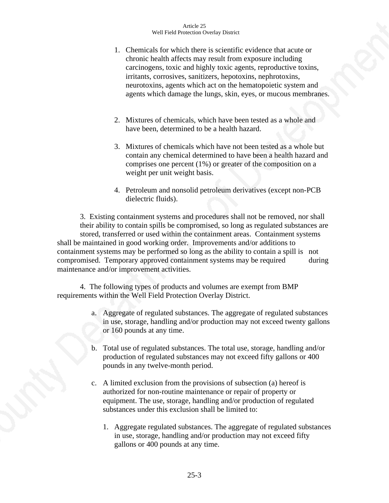- 1. Chemicals for which there is scientific evidence that acute or chronic health affects may result from exposure including carcinogens, toxic and highly toxic agents, reproductive toxins, irritants, corrosives, sanitizers, hepotoxins, nephrotoxins, neurotoxins, agents which act on the hematopoietic system and agents which damage the lungs, skin, eyes, or mucous membranes.
- 2. Mixtures of chemicals, which have been tested as a whole and have been, determined to be a health hazard.
- 3. Mixtures of chemicals which have not been tested as a whole but contain any chemical determined to have been a health hazard and comprises one percent (1%) or greater of the composition on a weight per unit weight basis.
- 4. Petroleum and nonsolid petroleum derivatives (except non-PCB dielectric fluids).

3. Existing containment systems and procedures shall not be removed, nor shall their ability to contain spills be compromised, so long as regulated substances are stored, transferred or used within the containment areas. Containment systems shall be maintained in good working order. Improvements and/or additions to containment systems may be performed so long as the ability to contain a spill is not compromised. Temporary approved containment systems may be required during maintenance and/or improvement activities.

4. The following types of products and volumes are exempt from BMP requirements within the Well Field Protection Overlay District.

- a. Aggregate of regulated substances. The aggregate of regulated substances in use, storage, handling and/or production may not exceed twenty gallons or 160 pounds at any time.
- b. Total use of regulated substances. The total use, storage, handling and/or production of regulated substances may not exceed fifty gallons or 400 pounds in any twelve-month period.
- c. A limited exclusion from the provisions of subsection (a) hereof is authorized for non-routine maintenance or repair of property or equipment. The use, storage, handling and/or production of regulated substances under this exclusion shall be limited to:
	- 1. Aggregate regulated substances. The aggregate of regulated substances in use, storage, handling and/or production may not exceed fifty gallons or 400 pounds at any time.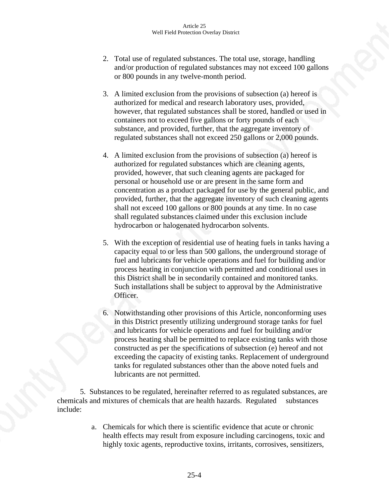- 2. Total use of regulated substances. The total use, storage, handling and/or production of regulated substances may not exceed 100 gallons or 800 pounds in any twelve-month period.
- 3. A limited exclusion from the provisions of subsection (a) hereof is authorized for medical and research laboratory uses, provided, however, that regulated substances shall be stored, handled or used in containers not to exceed five gallons or forty pounds of each substance, and provided, further, that the aggregate inventory of regulated substances shall not exceed 250 gallons or 2,000 pounds.
- 4. A limited exclusion from the provisions of subsection (a) hereof is authorized for regulated substances which are cleaning agents, provided, however, that such cleaning agents are packaged for personal or household use or are present in the same form and concentration as a product packaged for use by the general public, and provided, further, that the aggregate inventory of such cleaning agents shall not exceed 100 gallons or 800 pounds at any time. In no case shall regulated substances claimed under this exclusion include hydrocarbon or halogenated hydrocarbon solvents.
- 5. With the exception of residential use of heating fuels in tanks having a capacity equal to or less than 500 gallons, the underground storage of fuel and lubricants for vehicle operations and fuel for building and/or process heating in conjunction with permitted and conditional uses in this District shall be in secondarily contained and monitored tanks. Such installations shall be subject to approval by the Administrative Officer.
- 6. Notwithstanding other provisions of this Article, nonconforming uses in this District presently utilizing underground storage tanks for fuel and lubricants for vehicle operations and fuel for building and/or process heating shall be permitted to replace existing tanks with those constructed as per the specifications of subsection (e) hereof and not exceeding the capacity of existing tanks. Replacement of underground tanks for regulated substances other than the above noted fuels and lubricants are not permitted.

5. Substances to be regulated, hereinafter referred to as regulated substances, are chemicals and mixtures of chemicals that are health hazards. Regulated substances include:

> a. Chemicals for which there is scientific evidence that acute or chronic health effects may result from exposure including carcinogens, toxic and highly toxic agents, reproductive toxins, irritants, corrosives, sensitizers,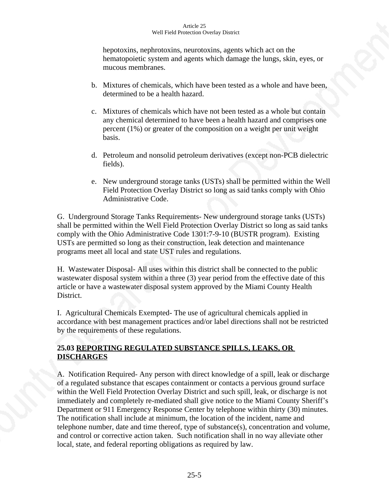hepotoxins, nephrotoxins, neurotoxins, agents which act on the hematopoietic system and agents which damage the lungs, skin, eyes, or mucous membranes.

- b. Mixtures of chemicals, which have been tested as a whole and have been, determined to be a health hazard.
- c. Mixtures of chemicals which have not been tested as a whole but contain any chemical determined to have been a health hazard and comprises one percent (1%) or greater of the composition on a weight per unit weight basis.
- d. Petroleum and nonsolid petroleum derivatives (except non-PCB dielectric fields).
- e. New underground storage tanks (USTs) shall be permitted within the Well Field Protection Overlay District so long as said tanks comply with Ohio Administrative Code.

G. Underground Storage Tanks Requirements- New underground storage tanks (USTs) shall be permitted within the Well Field Protection Overlay District so long as said tanks comply with the Ohio Administrative Code 1301:7-9-10 (BUSTR program). Existing USTs are permitted so long as their construction, leak detection and maintenance programs meet all local and state UST rules and regulations.

H. Wastewater Disposal- All uses within this district shall be connected to the public wastewater disposal system within a three (3) year period from the effective date of this article or have a wastewater disposal system approved by the Miami County Health District.

I. Agricultural Chemicals Exempted- The use of agricultural chemicals applied in accordance with best management practices and/or label directions shall not be restricted by the requirements of these regulations.

# **25.03 REPORTING REGULATED SUBSTANCE SPILLS, LEAKS, OR DISCHARGES**

A. Notification Required- Any person with direct knowledge of a spill, leak or discharge of a regulated substance that escapes containment or contacts a pervious ground surface within the Well Field Protection Overlay District and such spill, leak, or discharge is not immediately and completely re-mediated shall give notice to the Miami County Sheriff's Department or 911 Emergency Response Center by telephone within thirty (30) minutes. The notification shall include at minimum, the location of the incident, name and telephone number, date and time thereof, type of substance(s), concentration and volume, and control or corrective action taken. Such notification shall in no way alleviate other local, state, and federal reporting obligations as required by law.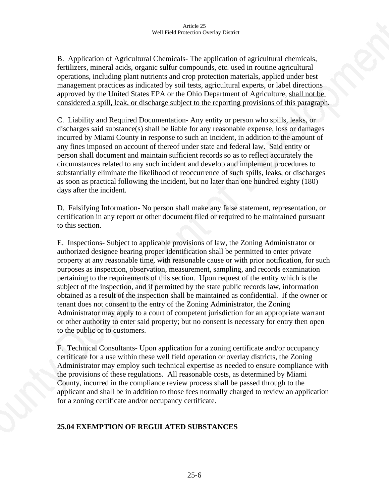B. Application of Agricultural Chemicals- The application of agricultural chemicals, fertilizers, mineral acids, organic sulfur compounds, etc. used in routine agricultural operations, including plant nutrients and crop protection materials, applied under best management practices as indicated by soil tests, agricultural experts, or label directions approved by the United States EPA or the Ohio Department of Agriculture, shall not be considered a spill, leak, or discharge subject to the reporting provisions of this paragraph.

C. Liability and Required Documentation- Any entity or person who spills, leaks, or discharges said substance(s) shall be liable for any reasonable expense, loss or damages incurred by Miami County in response to such an incident, in addition to the amount of any fines imposed on account of thereof under state and federal law. Said entity or person shall document and maintain sufficient records so as to reflect accurately the circumstances related to any such incident and develop and implement procedures to substantially eliminate the likelihood of reoccurrence of such spills, leaks, or discharges as soon as practical following the incident, but no later than one hundred eighty (180) days after the incident.

D. Falsifying Information- No person shall make any false statement, representation, or certification in any report or other document filed or required to be maintained pursuant to this section.

E. Inspections- Subject to applicable provisions of law, the Zoning Administrator or authorized designee bearing proper identification shall be permitted to enter private property at any reasonable time, with reasonable cause or with prior notification, for such purposes as inspection, observation, measurement, sampling, and records examination pertaining to the requirements of this section. Upon request of the entity which is the subject of the inspection, and if permitted by the state public records law, information obtained as a result of the inspection shall be maintained as confidential. If the owner or tenant does not consent to the entry of the Zoning Administrator, the Zoning Administrator may apply to a court of competent jurisdiction for an appropriate warrant or other authority to enter said property; but no consent is necessary for entry then open to the public or to customers.

F. Technical Consultants- Upon application for a zoning certificate and/or occupancy certificate for a use within these well field operation or overlay districts, the Zoning Administrator may employ such technical expertise as needed to ensure compliance with the provisions of these regulations. All reasonable costs, as determined by Miami County, incurred in the compliance review process shall be passed through to the applicant and shall be in addition to those fees normally charged to review an application for a zoning certificate and/or occupancy certificate.

# **25.04 EXEMPTION OF REGULATED SUBSTANCES**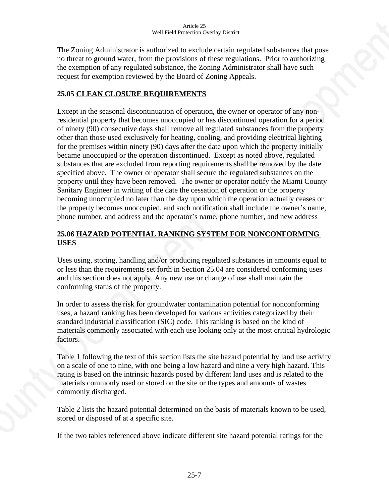The Zoning Administrator is authorized to exclude certain regulated substances that pose no threat to ground water, from the provisions of these regulations. Prior to authorizing the exemption of any regulated substance, the Zoning Administrator shall have such request for exemption reviewed by the Board of Zoning Appeals.

### **25.05 CLEAN CLOSURE REQUIREMENTS**

Except in the seasonal discontinuation of operation, the owner or operator of any nonresidential property that becomes unoccupied or has discontinued operation for a period of ninety (90) consecutive days shall remove all regulated substances from the property other than those used exclusively for heating, cooling, and providing electrical lighting for the premises within ninety (90) days after the date upon which the property initially became unoccupied or the operation discontinued. Except as noted above, regulated substances that are excluded from reporting requirements shall be removed by the date specified above. The owner or operator shall secure the regulated substances on the property until they have been removed. The owner or operator notify the Miami County Sanitary Engineer in writing of the date the cessation of operation or the property becoming unoccupied no later than the day upon which the operation actually ceases or the property becomes unoccupied, and such notification shall include the owner's name, phone number, and address and the operator's name, phone number, and new address

# **25.06 HAZARD POTENTIAL RANKING SYSTEM FOR NONCONFORMING USES**

Uses using, storing, handling and/or producing regulated substances in amounts equal to or less than the requirements set forth in Section 25.04 are considered conforming uses and this section does not apply. Any new use or change of use shall maintain the conforming status of the property.

In order to assess the risk for groundwater contamination potential for nonconforming uses, a hazard ranking has been developed for various activities categorized by their standard industrial classification (SIC) code. This ranking is based on the kind of materials commonly associated with each use looking only at the most critical hydrologic factors.

Table 1 following the text of this section lists the site hazard potential by land use activity on a scale of one to nine, with one being a low hazard and nine a very high hazard. This rating is based on the intrinsic hazards posed by different land uses and is related to the materials commonly used or stored on the site or the types and amounts of wastes commonly discharged.

Table 2 lists the hazard potential determined on the basis of materials known to be used, stored or disposed of at a specific site.

If the two tables referenced above indicate different site hazard potential ratings for the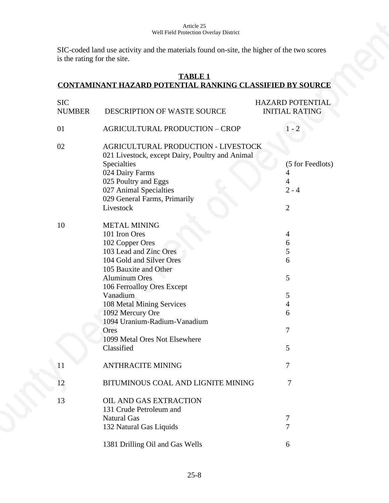SIC-coded land use activity and the materials found on-site, the higher of the two scores is the rating for the site.

### **TABLE 1 CONTAMINANT HAZARD POTENTIAL RANKING CLASSIFIED BY SOURCE**

| <b>SIC</b><br><b>NUMBER</b> | DESCRIPTION OF WASTE SOURCE                                                            | <b>HAZARD POTENTIAL</b><br><b>INITIAL RATING</b> |
|-----------------------------|----------------------------------------------------------------------------------------|--------------------------------------------------|
| 01                          | <b>AGRICULTURAL PRODUCTION - CROP</b>                                                  | $1 - 2$                                          |
| 02                          | AGRICULTURAL PRODUCTION - LIVESTOCK<br>021 Livestock, except Dairy, Poultry and Animal |                                                  |
|                             | Specialties                                                                            | (5 for Feedlots)                                 |
|                             | 024 Dairy Farms                                                                        | 4                                                |
|                             | 025 Poultry and Eggs                                                                   | 4                                                |
|                             | 027 Animal Specialties                                                                 | $2 - 4$                                          |
|                             | 029 General Farms, Primarily                                                           |                                                  |
|                             | Livestock                                                                              | $\overline{2}$                                   |
| 10                          | <b>METAL MINING</b>                                                                    |                                                  |
|                             | 101 Iron Ores                                                                          | 4                                                |
|                             | 102 Copper Ores                                                                        | 6                                                |
|                             | 103 Lead and Zinc Ores                                                                 | 5                                                |
|                             | 104 Gold and Silver Ores                                                               | 6                                                |
|                             | 105 Bauxite and Other                                                                  |                                                  |
|                             | <b>Aluminum Ores</b>                                                                   | 5                                                |
|                             | 106 Ferroalloy Ores Except                                                             |                                                  |
|                             | Vanadium                                                                               | 5                                                |
|                             | 108 Metal Mining Services                                                              | $\overline{4}$                                   |
|                             | 1092 Mercury Ore                                                                       | 6                                                |
|                             | 1094 Uranium-Radium-Vanadium                                                           |                                                  |
|                             | Ores                                                                                   | 7                                                |
|                             | 1099 Metal Ores Not Elsewhere                                                          |                                                  |
|                             | Classified                                                                             | 5                                                |
| 11                          | <b>ANTHRACITE MINING</b>                                                               | 7                                                |
| 12                          | BITUMINOUS COAL AND LIGNITE MINING                                                     | 7                                                |
| 13                          | <b>OIL AND GAS EXTRACTION</b>                                                          |                                                  |
|                             | 131 Crude Petroleum and                                                                |                                                  |
|                             | Natural Gas                                                                            | 7                                                |
|                             | 132 Natural Gas Liquids                                                                | 7                                                |
|                             | 1381 Drilling Oil and Gas Wells                                                        | 6                                                |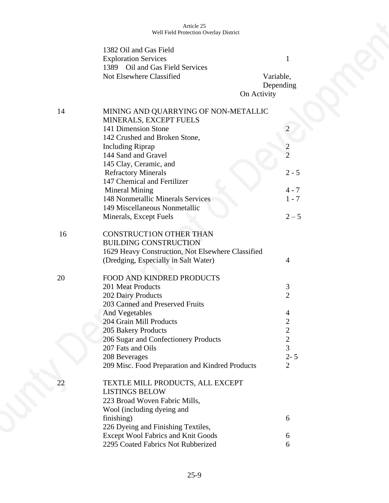|    | 1382 Oil and Gas Field<br><b>Exploration Services</b><br>1389 Oil and Gas Field Services<br>Not Elsewhere Classified | $\mathbf{1}$<br>Variable, |
|----|----------------------------------------------------------------------------------------------------------------------|---------------------------|
|    | On Activity                                                                                                          | Depending                 |
| 14 | MINING AND QUARRYING OF NON-METALLIC                                                                                 |                           |
|    | MINERALS, EXCEPT FUELS<br>141 Dimension Stone                                                                        |                           |
|    | 142 Crushed and Broken Stone,                                                                                        |                           |
|    | <b>Including Riprap</b>                                                                                              | $\overline{c}$            |
|    | 144 Sand and Gravel                                                                                                  | $\overline{2}$            |
|    | 145 Clay, Ceramic, and                                                                                               |                           |
|    | <b>Refractory Minerals</b>                                                                                           | $2 - 5$                   |
|    | 147 Chemical and Fertilizer                                                                                          |                           |
|    | <b>Mineral Mining</b>                                                                                                | $4 - 7$                   |
|    | 148 Nonmetallic Minerals Services                                                                                    | $1 - 7$                   |
|    | 149 Miscellaneous Nonmetallic                                                                                        |                           |
|    | Minerals, Except Fuels                                                                                               | $2 - 5$                   |
| 16 | <b>CONSTRUCTION OTHER THAN</b>                                                                                       |                           |
|    | <b>BUILDING CONSTRUCTION</b>                                                                                         |                           |
|    | 1629 Heavy Construction, Not Elsewhere Classified                                                                    |                           |
|    | (Dredging, Especially in Salt Water)                                                                                 | 4                         |
| 20 | FOOD AND KINDRED PRODUCTS                                                                                            |                           |
|    | 201 Meat Products                                                                                                    | 3                         |
|    | 202 Dairy Products                                                                                                   | $\overline{2}$            |
|    | 203 Canned and Preserved Fruits                                                                                      |                           |
|    | <b>And Vegetables</b>                                                                                                | 4                         |
|    | 204 Grain Mill Products                                                                                              | $\overline{c}$            |
|    | 205 Bakery Products                                                                                                  | $\overline{2}$            |
|    | 206 Sugar and Confectionery Products                                                                                 | $\overline{\mathbf{c}}$   |
|    | 207 Fats and Oils                                                                                                    | 3                         |
|    | 208 Beverages                                                                                                        | $2 - 5$                   |
|    | 209 Misc. Food Preparation and Kindred Products                                                                      | $\overline{2}$            |
| 22 | TEXTLE MILL PRODUCTS, ALL EXCEPT                                                                                     |                           |
|    | <b>LISTINGS BELOW</b>                                                                                                |                           |
|    | 223 Broad Woven Fabric Mills,                                                                                        |                           |
|    | Wool (including dyeing and                                                                                           |                           |
|    | finishing)                                                                                                           | 6                         |
|    | 226 Dyeing and Finishing Textiles,<br><b>Except Wool Fabrics and Knit Goods</b>                                      |                           |
|    | 2295 Coated Fabrics Not Rubberized                                                                                   | 6<br>6                    |
|    |                                                                                                                      |                           |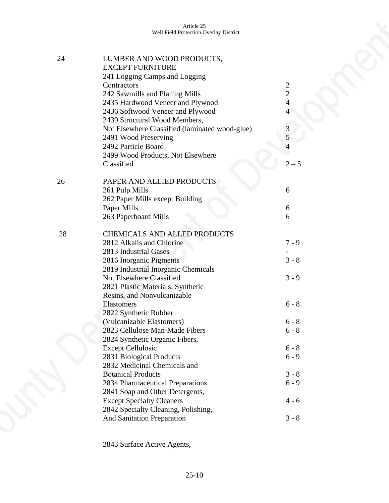| 24 | LUMBER AND WOOD PRODUCTS,<br><b>EXCEPT FURNITURE</b>               |                                  |
|----|--------------------------------------------------------------------|----------------------------------|
|    | 241 Logging Camps and Logging                                      |                                  |
|    | Contractors                                                        | $\overline{c}$<br>$\overline{2}$ |
|    | 242 Sawmills and Planing Mills<br>2435 Hardwood Veneer and Plywood | $\overline{4}$                   |
|    | 2436 Softwood Veneer and Plywood                                   | $\overline{4}$                   |
|    | 2439 Structural Wood Members,                                      |                                  |
|    |                                                                    |                                  |
|    | Not Elsewhere Classified (laminated wood-glue)                     | $\frac{3}{5}$                    |
|    | 2491 Wood Preserving<br>2492 Particle Board                        | $\overline{4}$                   |
|    |                                                                    |                                  |
|    | 2499 Wood Products, Not Elsewhere                                  |                                  |
|    | Classified                                                         | $2 - 5$                          |
| 26 | PAPER AND ALLIED PRODUCTS                                          |                                  |
|    | 261 Pulp Mills                                                     | 6                                |
|    | 262 Paper Mills except Building                                    |                                  |
|    | Paper Mills                                                        | 6                                |
|    | 263 Paperboard Mills                                               | 6                                |
| 28 | <b>CHEMICALS AND ALLED PRODUCTS</b>                                |                                  |
|    | 2812 Alkalis and Chlorine                                          | $7 - 9$                          |
|    | 2813 Industrial Gases                                              |                                  |
|    | 2816 Inorganic Pigments                                            | $3 - 8$                          |
|    | 2819 Industrial Inorganic Chemicals                                |                                  |
|    | <b>Not Elsewhere Classified</b>                                    | $3 - 9$                          |
|    | 2821 Plastic Materials, Synthetic                                  |                                  |
|    | Resins, and Nonvulcanizable                                        |                                  |
|    | Elastomers                                                         | $6 - 8$                          |
|    | 2822 Synthetic Rubber                                              |                                  |
|    | (Vulcanizable Elastomers)                                          | $6 - 8$                          |
|    | 2823 Cellulose Man-Made Fibers                                     | $6 - 8$                          |
|    | 2824 Synthetic Organic Fibers,                                     |                                  |
|    | <b>Except Cellulosic</b>                                           | $6 - 8$                          |
|    | 2831 Biological Products                                           | $6 - 9$                          |
|    | 2832 Medicinal Chemicals and                                       |                                  |
|    | <b>Botanical Products</b>                                          | $3 - 8$                          |
|    | 2834 Pharmaceutical Preparations                                   | $6 - 9$                          |
|    | 2841 Soap and Other Detergents,                                    |                                  |
|    | <b>Except Specialty Cleaners</b>                                   | $4 - 6$                          |
|    | 2842 Specialty Cleaning, Polishing,                                |                                  |
|    | And Sanitation Preparation                                         | $3 - 8$                          |

2843 Surface Active Agents,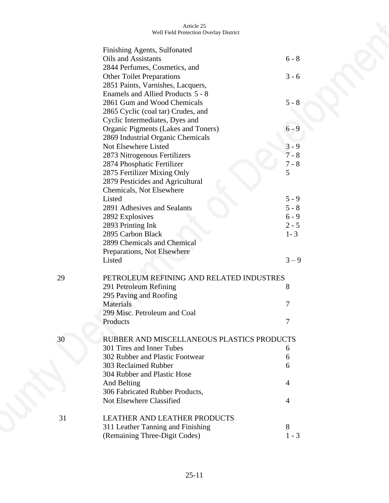|    | Finishing Agents, Sulfonated               |                |
|----|--------------------------------------------|----------------|
|    | Oils and Assistants                        | $6 - 8$        |
|    | 2844 Perfumes, Cosmetics, and              |                |
|    | <b>Other Toilet Preparations</b>           | $3 - 6$        |
|    | 2851 Paints, Varnishes, Lacquers,          |                |
|    | Enamels and Allied Products 5 - 8          |                |
|    | 2861 Gum and Wood Chemicals                | $5 - 8$        |
|    | 2865 Cyclic (coal tar) Crudes, and         |                |
|    | Cyclic Intermediates, Dyes and             |                |
|    | Organic Pigments (Lakes and Toners)        | $6 - 9$        |
|    | 2869 Industrial Organic Chemicals          |                |
|    | Not Elsewhere Listed                       | $3 - 9$        |
|    | 2873 Nitrogenous Fertilizers               | $7 - 8$        |
|    | 2874 Phosphatic Fertilizer                 | $7 - 8$        |
|    | 2875 Fertilizer Mixing Only                | 5              |
|    | 2879 Pesticides and Agricultural           |                |
|    | Chemicals, Not Elsewhere                   |                |
|    | Listed                                     | $5 - 9$        |
|    | 2891 Adhesives and Sealants                | $5 - 8$        |
|    | 2892 Explosives                            | $6 - 9$        |
|    | 2893 Printing Ink                          | $2 - 5$        |
|    | 2895 Carbon Black                          | $1 - 3$        |
|    | 2899 Chemicals and Chemical                |                |
|    | Preparations, Not Elsewhere                |                |
|    | Listed                                     | $3 - 9$        |
|    |                                            |                |
| 29 | PETROLEUM REFINING AND RELATED INDUSTRES   |                |
|    | 291 Petroleum Refining                     | 8              |
|    | 295 Paving and Roofing                     |                |
|    | <b>Materials</b>                           | 7              |
|    | 299 Misc. Petroleum and Coal               |                |
|    | Products                                   | 7              |
| 30 | RUBBER AND MISCELLANEOUS PLASTICS PRODUCTS |                |
|    | 301 Tires and Inner Tubes                  | 6              |
|    | 302 Rubber and Plastic Footwear            | 6              |
|    | 303 Reclaimed Rubber                       | 6              |
|    | 304 Rubber and Plastic Hose                |                |
|    | And Belting                                | 4              |
|    | 306 Fabricated Rubber Products,            |                |
|    | Not Elsewhere Classified                   | $\overline{4}$ |
|    |                                            |                |
| 31 | <b>LEATHER AND LEATHER PRODUCTS</b>        |                |
|    | 311 Leather Tanning and Finishing          | 8              |
|    | (Remaining Three-Digit Codes)              | $1 - 3$        |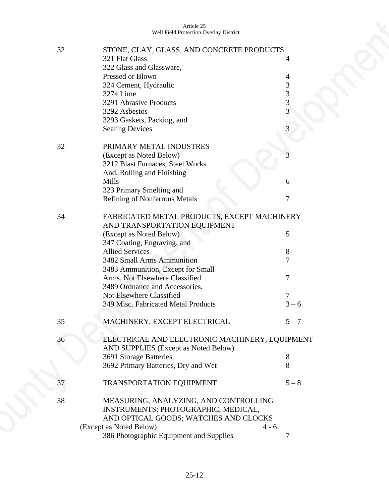| 32 | STONE, CLAY, GLASS, AND CONCRETE PRODUCTS<br>321 Flat Glass | 4              |
|----|-------------------------------------------------------------|----------------|
|    | 322 Glass and Glassware,                                    |                |
|    | Pressed or Blown                                            | 4              |
|    | 324 Cement, Hydraulic                                       | 3              |
|    | 3274 Lime                                                   | 3              |
|    | 3291 Abrasive Products                                      | $\overline{3}$ |
|    | 3292 Asbestos                                               | $\overline{3}$ |
|    | 3293 Gaskets, Packing, and                                  |                |
|    | <b>Sealing Devices</b>                                      | 3              |
| 32 | PRIMARY METAL INDUSTRES                                     |                |
|    | (Except as Noted Below)                                     | 3              |
|    | 3212 Blast Furnaces, Steel Works                            |                |
|    | And, Rolling and Finishing                                  |                |
|    | Mills                                                       | 6              |
|    | 323 Primary Smelting and                                    |                |
|    | <b>Refining of Nonferrous Metals</b>                        | 7              |
| 34 | FABRICATED METAL PRODUCTS, EXCEPT MACHINERY                 |                |
|    | AND TRANSPORTATION EQUIPMENT                                |                |
|    | (Except as Noted Below)                                     | 5              |
|    |                                                             |                |
|    | 347 Coating, Engraving, and<br><b>Allied Services</b>       |                |
|    |                                                             | 8              |
|    | 3482 Small Arms Ammunition                                  | 7              |
|    | 3483 Ammunition, Except for Small                           |                |
|    | Arms, Not Elsewhere Classified                              | 7              |
|    | 3489 Ordnance and Accessories,                              |                |
|    | <b>Not Elsewhere Classified</b>                             | 7              |
|    | 349 Misc. Fabricated Metal Products                         | $3 - 6$        |
| 35 | MACHINERY, EXCEPT ELECTRICAL                                | $5 - 7$        |
| 36 | ELECTRICAL AND ELECTRONIC MACHINERY, EQUIPMENT              |                |
|    | AND SUPPLIES (Except as Noted Below)                        |                |
|    | 3691 Storage Batteries                                      | 8              |
|    | 3692 Primary Batteries, Dry and Wet                         | 8              |
|    |                                                             |                |
| 37 | TRANSPORTATION EQUIPMENT                                    | $5 - 8$        |
| 38 | MEASURING, ANALYZING, AND CONTROLLING                       |                |
|    | INSTRUMENTS; PHOTOGRAPHIC, MEDICAL,                         |                |
|    | AND OPTICAL GOODS; WATCHES AND CLOCKS                       |                |
|    | (Except as Noted Below)<br>$4 - 6$                          |                |
|    | 386 Photographic Equipment and Supplies                     | 7              |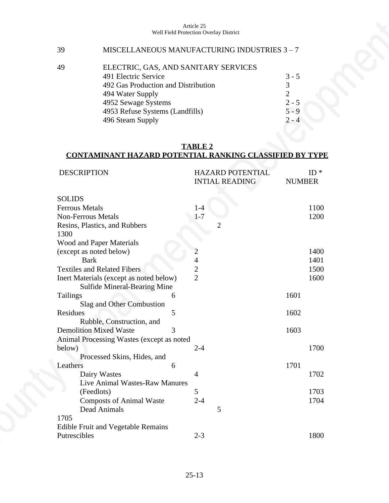# 39 MISCELLANEOUS MANUFACTURING INDUSTRIES 3 – 7

| 49 | ELECTRIC, GAS, AND SANITARY SERVICES |                             |
|----|--------------------------------------|-----------------------------|
|    | 491 Electric Service                 | $3 - 5$                     |
|    | 492 Gas Production and Distribution  | $\mathcal{R}$               |
|    | 494 Water Supply                     | $\mathcal{D}_{\mathcal{L}}$ |
|    | 4952 Sewage Systems                  | $2 - 5$                     |
|    | 4953 Refuse Systems (Landfills)      | $5 - 9$                     |
|    | 496 Steam Supply                     | $2 - 4$                     |

### **TABLE 2 CONTAMINANT HAZARD POTENTIAL RANKING CLASSIFIED BY TYPE**

| <b>DESCRIPTION</b>                        |   | <b>HAZARD POTENTIAL</b><br><b>INTIAL READING</b> | <b>NUMBER</b> | $ID *$ |
|-------------------------------------------|---|--------------------------------------------------|---------------|--------|
| <b>SOLIDS</b>                             |   |                                                  |               |        |
| <b>Ferrous Metals</b>                     |   | $1 - 4$                                          |               | 1100   |
| <b>Non-Ferrous Metals</b>                 |   | $1 - 7$                                          |               | 1200   |
| Resins, Plastics, and Rubbers<br>1300     |   | $\overline{2}$                                   |               |        |
| <b>Wood and Paper Materials</b>           |   |                                                  |               |        |
| (except as noted below)                   |   | $\overline{c}$                                   |               | 1400   |
| <b>Bark</b>                               |   | $\overline{4}$                                   |               | 1401   |
| <b>Textiles and Related Fibers</b>        |   | $\overline{2}$                                   |               | 1500   |
| Inert Materials (except as noted below)   |   | $\overline{2}$                                   |               | 1600   |
| <b>Sulfide Mineral-Bearing Mine</b>       |   |                                                  |               |        |
| <b>Tailings</b>                           | 6 |                                                  | 1601          |        |
| Slag and Other Combustion                 |   |                                                  |               |        |
| Residues                                  | 5 |                                                  | 1602          |        |
| Rubble, Construction, and                 |   |                                                  |               |        |
| <b>Demolition Mixed Waste</b>             | 3 |                                                  | 1603          |        |
| Animal Processing Wastes (except as noted |   |                                                  |               |        |
| below)                                    |   | $2 - 4$                                          |               | 1700   |
| Processed Skins, Hides, and               |   |                                                  |               |        |
| Leathers                                  | 6 |                                                  | 1701          |        |
| Dairy Wastes                              |   | 4                                                |               | 1702   |
| Live Animal Wastes-Raw Manures            |   |                                                  |               |        |
| (Feedlots)                                |   | 5                                                |               | 1703   |
| <b>Composts of Animal Waste</b>           |   | $2 - 4$                                          |               | 1704   |
| Dead Animals                              |   | 5                                                |               |        |
| 1705                                      |   |                                                  |               |        |
| Edible Fruit and Vegetable Remains        |   |                                                  |               |        |
| Putrescibles                              |   | $2 - 3$                                          |               | 1800   |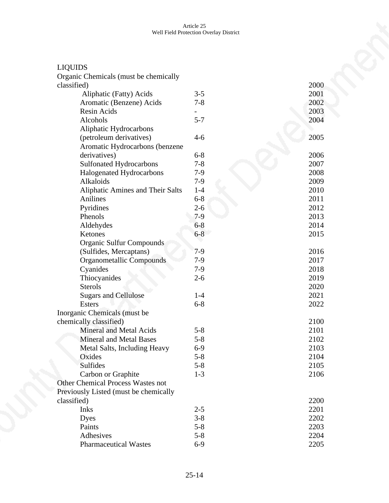| <b>LIQUIDS</b>                          |         |      |
|-----------------------------------------|---------|------|
| Organic Chemicals (must be chemically   |         |      |
| classified)                             |         | 2000 |
| Aliphatic (Fatty) Acids                 | $3 - 5$ | 2001 |
| Aromatic (Benzene) Acids                | $7 - 8$ | 2002 |
| Resin Acids                             |         | 2003 |
| Alcohols                                | $5 - 7$ | 2004 |
| Aliphatic Hydrocarbons                  |         |      |
| (petroleum derivatives)                 | $4 - 6$ | 2005 |
| Aromatic Hydrocarbons (benzene          |         |      |
| derivatives)                            | $6 - 8$ | 2006 |
| <b>Sulfonated Hydrocarbons</b>          | $7 - 8$ | 2007 |
| Halogenated Hydrocarbons                | $7-9$   | 2008 |
| Alkaloids                               | $7-9$   | 2009 |
| <b>Aliphatic Amines and Their Salts</b> | $1 - 4$ | 2010 |
| Anilines                                | $6 - 8$ | 2011 |
| Pyridines                               | $2 - 6$ | 2012 |
| Phenols                                 | $7-9$   | 2013 |
| Aldehydes                               | $6 - 8$ | 2014 |
| Ketones                                 | $6 - 8$ | 2015 |
| Organic Sulfur Compounds                |         |      |
| (Sulfides, Mercaptans)                  | $7-9$   | 2016 |
| Organometallic Compounds                | $7-9$   | 2017 |
| Cyanides                                | $7-9$   | 2018 |
| Thiocyanides                            | $2 - 6$ | 2019 |
| <b>Sterols</b>                          |         | 2020 |
| <b>Sugars and Cellulose</b>             | $1-4$   | 2021 |
| <b>Esters</b>                           | $6 - 8$ | 2022 |
| Inorganic Chemicals (must be            |         |      |
| chemically classified)                  |         | 2100 |
| <b>Mineral and Metal Acids</b>          | $5 - 8$ | 2101 |
| <b>Mineral and Metal Bases</b>          | $5 - 8$ | 2102 |
| Metal Salts, Including Heavy            | $6-9$   | 2103 |
| Oxides                                  | $5 - 8$ | 2104 |
| <b>Sulfides</b>                         | $5 - 8$ | 2105 |
| Carbon or Graphite                      | $1 - 3$ | 2106 |
| Other Chemical Process Wastes not       |         |      |
| Previously Listed (must be chemically   |         |      |
| classified)                             |         | 2200 |
| Inks                                    | $2 - 5$ | 2201 |
| Dyes                                    | $3 - 8$ | 2202 |
| Paints                                  | $5 - 8$ | 2203 |
| Adhesives                               | $5 - 8$ | 2204 |
| <b>Pharmaceutical Wastes</b>            | $6-9$   | 2205 |